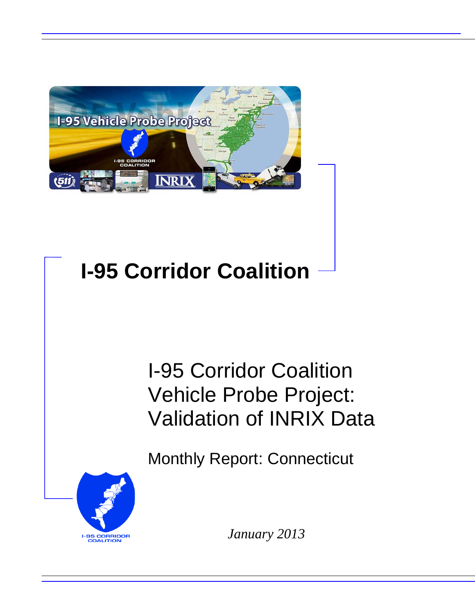

## **I-95 Corridor Coalition**

I-95 Corridor Coalition Vehicle Probe Project: Validation of INRIX Data

Monthly Report: Connecticut



*January 2013*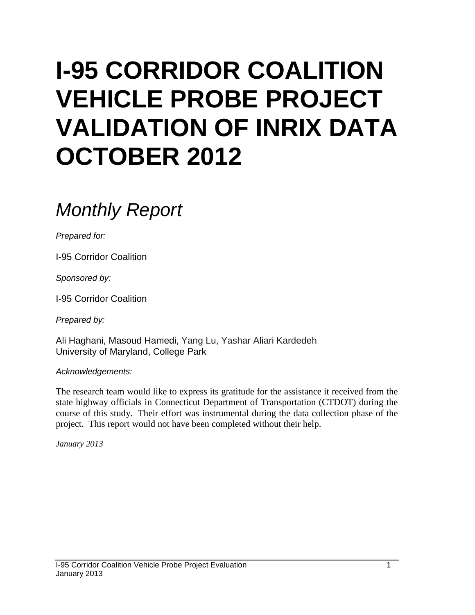# **I-95 CORRIDOR COALITION VEHICLE PROBE PROJECT VALIDATION OF INRIX DATA OCTOBER 2012**

### *Monthly Report*

*Prepared for:*

I-95 Corridor Coalition

*Sponsored by:*

I-95 Corridor Coalition

*Prepared by:*

Ali Haghani, Masoud Hamedi, Yang Lu, Yashar Aliari Kardedeh University of Maryland, College Park

*Acknowledgements:*

The research team would like to express its gratitude for the assistance it received from the state highway officials in Connecticut Department of Transportation (CTDOT) during the course of this study. Their effort was instrumental during the data collection phase of the project. This report would not have been completed without their help.

*January 2013*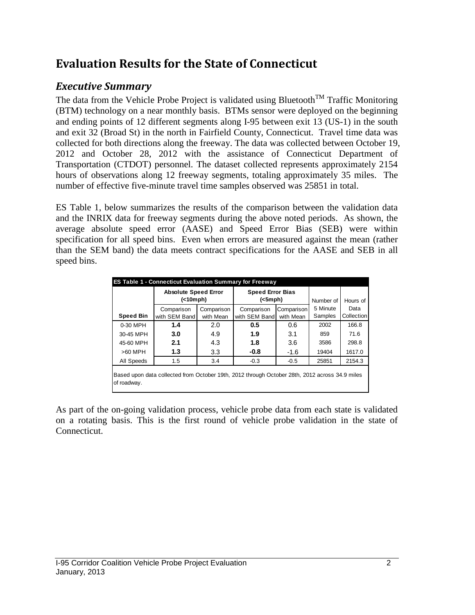### **Evaluation Results for the State of Connecticut**

#### *Executive Summary*

The data from the Vehicle Probe Project is validated using Bluetooth<sup>TM</sup> Traffic Monitoring (BTM) technology on a near monthly basis. BTMs sensor were deployed on the beginning and ending points of 12 different segments along I-95 between exit 13 (US-1) in the south and exit 32 (Broad St) in the north in Fairfield County, Connecticut. Travel time data was collected for both directions along the freeway. The data was collected between October 19, 2012 and October 28, 2012 with the assistance of Connecticut Department of Transportation (CTDOT) personnel. The dataset collected represents approximately 2154 hours of observations along 12 freeway segments, totaling approximately 35 miles. The number of effective five-minute travel time samples observed was 25851 in total.

ES Table 1, below summarizes the results of the comparison between the validation data and the INRIX data for freeway segments during the above noted periods. As shown, the average absolute speed error (AASE) and Speed Error Bias (SEB) were within specification for all speed bins. Even when errors are measured against the mean (rather than the SEM band) the data meets contract specifications for the AASE and SEB in all speed bins.

| <b>ES Table 1 - Connecticut Evaluation Summary for Freeway</b>                                                |                                            |            |                                          |            |           |            |  |  |  |
|---------------------------------------------------------------------------------------------------------------|--------------------------------------------|------------|------------------------------------------|------------|-----------|------------|--|--|--|
|                                                                                                               | <b>Absolute Speed Error</b><br>( < 10 mph) |            | <b>Speed Error Bias</b><br>$(<5$ mph $)$ |            | Number of | Hours of   |  |  |  |
|                                                                                                               | Comparison                                 | Comparison | Comparison                               | Comparison | 5 Minute  | Data       |  |  |  |
| <b>Speed Bin</b>                                                                                              | with SEM Band                              | with Mean  | with SEM Band                            | with Mean  | Samples   | Collection |  |  |  |
| 0-30 MPH                                                                                                      | 1.4                                        | 2.0        | 0.5                                      | 0.6        | 2002      | 166.8      |  |  |  |
| 30-45 MPH                                                                                                     | 3.0                                        | 4.9        | 1.9                                      | 3.1        | 859       | 71.6       |  |  |  |
| 45-60 MPH                                                                                                     | 2.1                                        | 4.3        | 1.8                                      | 3.6        | 3586      | 298.8      |  |  |  |
| $>60$ MPH                                                                                                     | 1.3                                        | 3.3        | -0.8                                     | $-1.6$     | 19404     | 1617.0     |  |  |  |
| All Speeds                                                                                                    | 1.5                                        | 3.4        | $-0.3$                                   | $-0.5$     | 25851     | 2154.3     |  |  |  |
| Based upon data collected from October 19th, 2012 through October 28th, 2012 across 34.9 miles<br>of roadway. |                                            |            |                                          |            |           |            |  |  |  |

As part of the on-going validation process, vehicle probe data from each state is validated on a rotating basis. This is the first round of vehicle probe validation in the state of Connecticut.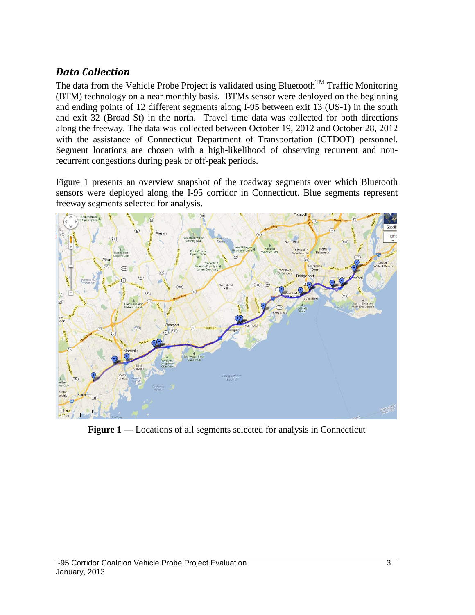#### *Data Collection*

The data from the Vehicle Probe Project is validated using Bluetooth<sup>TM</sup> Traffic Monitoring (BTM) technology on a near monthly basis. BTMs sensor were deployed on the beginning and ending points of 12 different segments along I-95 between exit 13 (US-1) in the south and exit 32 (Broad St) in the north. Travel time data was collected for both directions along the freeway. The data was collected between October 19, 2012 and October 28, 2012 with the assistance of Connecticut Department of Transportation (CTDOT) personnel. Segment locations are chosen with a high-likelihood of observing recurrent and nonrecurrent congestions during peak or off-peak periods.

Figure 1 presents an overview snapshot of the roadway segments over which Bluetooth sensors were deployed along the I-95 corridor in Connecticut. Blue segments represent freeway segments selected for analysis.



**Figure 1** — Locations of all segments selected for analysis in Connecticut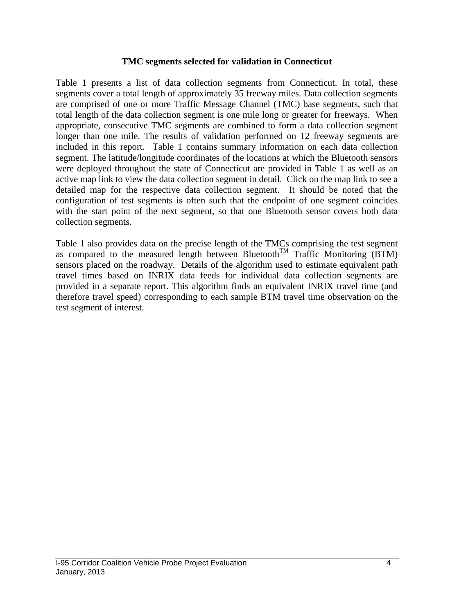#### **TMC segments selected for validation in Connecticut**

Table 1 presents a list of data collection segments from Connecticut. In total, these segments cover a total length of approximately 35 freeway miles. Data collection segments are comprised of one or more Traffic Message Channel (TMC) base segments, such that total length of the data collection segment is one mile long or greater for freeways. When appropriate, consecutive TMC segments are combined to form a data collection segment longer than one mile. The results of validation performed on 12 freeway segments are included in this report. Table 1 contains summary information on each data collection segment. The latitude/longitude coordinates of the locations at which the Bluetooth sensors were deployed throughout the state of Connecticut are provided in Table 1 as well as an active map link to view the data collection segment in detail. Click on the map link to see a detailed map for the respective data collection segment. It should be noted that the configuration of test segments is often such that the endpoint of one segment coincides with the start point of the next segment, so that one Bluetooth sensor covers both data collection segments.

Table 1 also provides data on the precise length of the TMCs comprising the test segment as compared to the measured length between Bluetooth<sup>TM</sup> Traffic Monitoring (BTM) sensors placed on the roadway. Details of the algorithm used to estimate equivalent path travel times based on INRIX data feeds for individual data collection segments are provided in a separate report. This algorithm finds an equivalent INRIX travel time (and therefore travel speed) corresponding to each sample BTM travel time observation on the test segment of interest.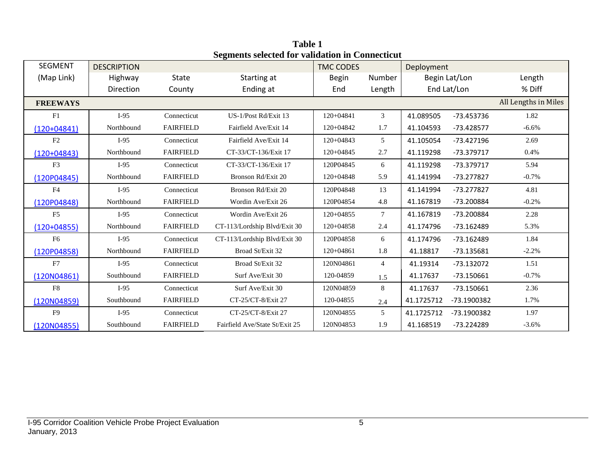| <b>SEGMENT</b>  | <b>DESCRIPTION</b> |                      | beginents selected for vandation in connecticut | <b>TMC CODES</b> |                 | Deployment    |              |                      |
|-----------------|--------------------|----------------------|-------------------------------------------------|------------------|-----------------|---------------|--------------|----------------------|
| (Map Link)      | Highway            | State<br>Starting at |                                                 | Begin            | Number          | Begin Lat/Lon |              | Length               |
|                 | Direction          | County               | Ending at                                       | End              | Length          |               | End Lat/Lon  | % Diff               |
| <b>FREEWAYS</b> |                    |                      |                                                 |                  |                 |               |              | All Lengths in Miles |
| F1              | $I-95$             | Connecticut          | US-1/Post Rd/Exit 13                            | 120+04841        | 3               | 41.089505     | -73.453736   | 1.82                 |
| $(120+04841)$   | Northbound         | <b>FAIRFIELD</b>     | Fairfield Ave/Exit 14                           | 120+04842        | 1.7             | 41.104593     | $-73.428577$ | $-6.6%$              |
| F2              | $I-95$             | Connecticut          | Fairfield Ave/Exit 14                           | $120+04843$      | $\overline{5}$  | 41.105054     | $-73.427196$ | 2.69                 |
| $(120+04843)$   | Northbound         | <b>FAIRFIELD</b>     | CT-33/CT-136/Exit 17                            | $120+04845$      | 2.7             | 41.119298     | -73.379717   | 0.4%                 |
| F <sub>3</sub>  | $I-95$             | Connecticut          | CT-33/CT-136/Exit 17                            | 120P04845        | 6               | 41.119298     | -73.379717   | 5.94                 |
| (120P04845)     | Northbound         | <b>FAIRFIELD</b>     | Bronson Rd/Exit 20                              | $120+04848$      | 5.9             | 41.141994     | -73.277827   | $-0.7\%$             |
| F4              | $I-95$             | Connecticut          | Bronson Rd/Exit 20                              | 120P04848        | 13              | 41.141994     | -73.277827   | 4.81                 |
| (120P04848)     | Northbound         | <b>FAIRFIELD</b>     | Wordin Ave/Exit 26                              | 120P04854        | 4.8             | 41.167819     | -73.200884   | $-0.2%$              |
| F5              | $I-95$             | Connecticut          | Wordin Ave/Exit 26                              | $120+04855$      | $7\overline{ }$ | 41.167819     | -73.200884   | 2.28                 |
| $(120+04855)$   | Northbound         | <b>FAIRFIELD</b>     | CT-113/Lordship Blvd/Exit 30                    | $120+04858$      | 2.4             | 41.174796     | -73.162489   | 5.3%                 |
| F6              | $I-95$             | Connecticut          | CT-113/Lordship Blvd/Exit 30                    | 120P04858        | 6               | 41.174796     | $-73.162489$ | 1.84                 |
| (120P04858)     | Northbound         | <b>FAIRFIELD</b>     | Broad St/Exit 32                                | $120+04861$      | 1.8             | 41.18817      | $-73.135681$ | $-2.2%$              |
| F7              | $I-95$             | Connecticut          | Broad St/Exit 32                                | 120N04861        | $\overline{4}$  | 41.19314      | $-73.132072$ | 1.51                 |
| (120N04861)     | Southbound         | <b>FAIRFIELD</b>     | Surf Ave/Exit 30                                | 120-04859        | 1.5             | 41.17637      | $-73.150661$ | $-0.7%$              |
| F8              | $I-95$             | Connecticut          | Surf Ave/Exit 30                                | 120N04859        | 8               | 41.17637      | $-73.150661$ | 2.36                 |
| (120N04859)     | Southbound         | <b>FAIRFIELD</b>     | CT-25/CT-8/Exit 27                              | 120-04855        | 2.4             | 41.1725712    | -73.1900382  | 1.7%                 |
| F9              | $I-95$             | Connecticut          | CT-25/CT-8/Exit 27                              | 120N04855        | 5               | 41.1725712    | -73.1900382  | 1.97                 |
| (120N04855)     | Southbound         | <b>FAIRFIELD</b>     | Fairfield Ave/State St/Exit 25                  | 120N04853        | 1.9             | 41.168519     | -73.224289   | $-3.6%$              |

**Table 1 Segments selected for validation in Connecticut**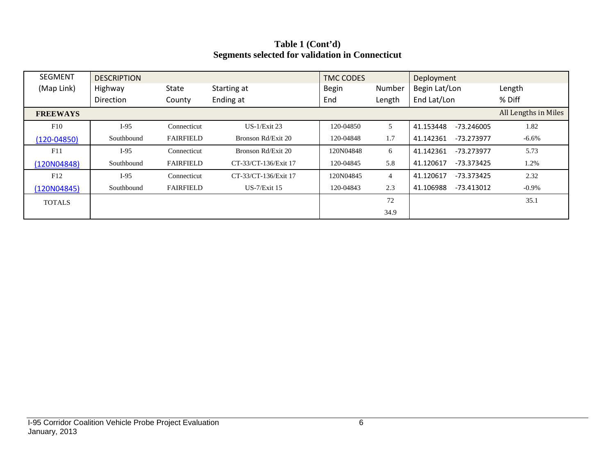| Table 1 (Cont'd)                                       |
|--------------------------------------------------------|
| <b>Segments selected for validation in Connecticut</b> |

| <b>SEGMENT</b>  | <b>DESCRIPTION</b> |                  |                      | <b>TMC CODES</b>       |                | Deployment                |                      |
|-----------------|--------------------|------------------|----------------------|------------------------|----------------|---------------------------|----------------------|
| (Map Link)      | Highway            | <b>State</b>     | Starting at          | <b>Begin</b><br>Number |                | Begin Lat/Lon             | Length               |
|                 | <b>Direction</b>   | County           | Ending at            | End                    | Length         | End Lat/Lon               | % Diff               |
| <b>FREEWAYS</b> |                    |                  |                      |                        |                |                           | All Lengths in Miles |
| F10             | $I-95$             | Connecticut      | $US-1/Ex$ it 23      | 120-04850              | 5              | 41.153448<br>-73.246005   | 1.82                 |
| $(120 - 04850)$ | Southbound         | <b>FAIRFIELD</b> | Bronson Rd/Exit 20   | 120-04848              | 1.7            | 41.142361<br>-73.273977   | $-6.6%$              |
| F11             | $I-95$             | Connecticut      | Bronson Rd/Exit 20   | 120N04848              | 6              | 41.142361<br>$-73.273977$ | 5.73                 |
| (120N04848)     | Southbound         | <b>FAIRFIELD</b> | CT-33/CT-136/Exit 17 | 120-04845              | 5.8            | 41.120617<br>-73.373425   | 1.2%                 |
| F12             | $I-95$             | Connecticut      | CT-33/CT-136/Exit 17 | 120N04845              | $\overline{4}$ | $-73.373425$<br>41.120617 | 2.32                 |
| (120N04845)     | Southbound         | <b>FAIRFIELD</b> | $US-7/Exit 15$       | 120-04843              | 2.3            | 41.106988<br>$-73.413012$ | $-0.9\%$             |
| <b>TOTALS</b>   |                    |                  |                      |                        | 72             |                           | 35.1                 |
|                 |                    |                  |                      |                        | 34.9           |                           |                      |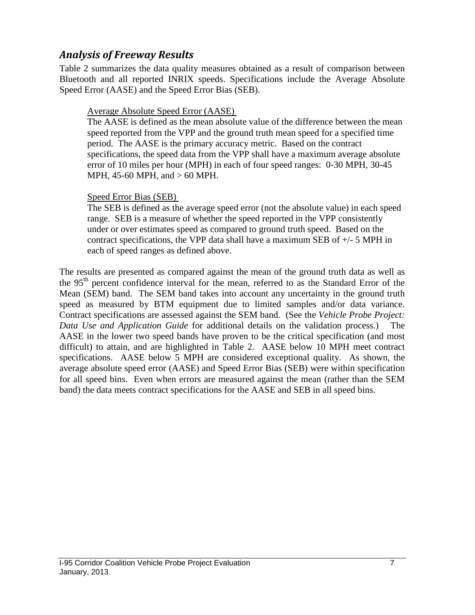#### *Analysis of Freeway Results*

Table 2 summarizes the data quality measures obtained as a result of comparison between Bluetooth and all reported INRIX speeds. Specifications include the Average Absolute Speed Error (AASE) and the Speed Error Bias (SEB).

#### Average Absolute Speed Error (AASE)

The AASE is defined as the mean absolute value of the difference between the mean speed reported from the VPP and the ground truth mean speed for a specified time period. The AASE is the primary accuracy metric. Based on the contract specifications, the speed data from the VPP shall have a maximum average absolute error of 10 miles per hour (MPH) in each of four speed ranges: 0-30 MPH, 30-45 MPH, 45-60 MPH, and > 60 MPH.

#### Speed Error Bias (SEB)

The SEB is defined as the average speed error (not the absolute value) in each speed range. SEB is a measure of whether the speed reported in the VPP consistently under or over estimates speed as compared to ground truth speed. Based on the contract specifications, the VPP data shall have a maximum SEB of +/- 5 MPH in each of speed ranges as defined above.

The results are presented as compared against the mean of the ground truth data as well as the 95<sup>th</sup> percent confidence interval for the mean, referred to as the Standard Error of the Mean (SEM) band. The SEM band takes into account any uncertainty in the ground truth speed as measured by BTM equipment due to limited samples and/or data variance. Contract specifications are assessed against the SEM band. (See the *Vehicle Probe Project: Data Use and Application Guide* for additional details on the validation process.) The AASE in the lower two speed bands have proven to be the critical specification (and most difficult) to attain, and are highlighted in Table 2. AASE below 10 MPH meet contract specifications. AASE below 5 MPH are considered exceptional quality. As shown, the average absolute speed error (AASE) and Speed Error Bias (SEB) were within specification for all speed bins. Even when errors are measured against the mean (rather than the SEM band) the data meets contract specifications for the AASE and SEB in all speed bins.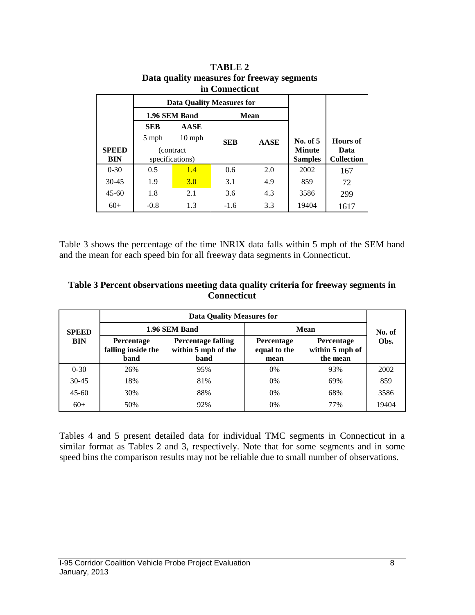| ні соннесисис |                                  |                  |            |             |                |                   |  |  |  |  |
|---------------|----------------------------------|------------------|------------|-------------|----------------|-------------------|--|--|--|--|
|               | <b>Data Quality Measures for</b> |                  |            |             |                |                   |  |  |  |  |
|               |                                  | 1.96 SEM Band    |            | <b>Mean</b> |                |                   |  |  |  |  |
|               | <b>SEB</b>                       | <b>AASE</b>      |            |             |                |                   |  |  |  |  |
|               | 5 mph                            | $10 \text{ mph}$ | <b>SEB</b> | <b>AASE</b> | No. of $5$     | <b>Hours</b> of   |  |  |  |  |
| <b>SPEED</b>  | (contract)                       |                  |            |             | <b>Minute</b>  | Data              |  |  |  |  |
| BIN           |                                  | specifications)  |            |             | <b>Samples</b> | <b>Collection</b> |  |  |  |  |
| $0 - 30$      | 0.5                              | 1.4              | 0.6        | 2.0         | 2002           | 167               |  |  |  |  |
| $30 - 45$     | 1.9                              | 3.0              | 3.1        | 4.9         | 859            | 72                |  |  |  |  |
| $45 - 60$     | 1.8                              | 2.1              | 3.6        | 4.3         | 3586           | 299               |  |  |  |  |
| $60+$         | $-0.8$                           | 1.3              | $-1.6$     | 3.3         | 19404          | 1617              |  |  |  |  |

| TABLE 2                                    |
|--------------------------------------------|
| Data quality measures for freeway segments |
| in Connecticut                             |

Table 3 shows the percentage of the time INRIX data falls within 5 mph of the SEM band and the mean for each speed bin for all freeway data segments in Connecticut.

| Table 3 Percent observations meeting data quality criteria for freeway segments in |
|------------------------------------------------------------------------------------|
| <b>Connecticut</b>                                                                 |

|              | <b>Data Quality Measures for</b>                |                                                                 |                                           |                                                  |       |  |  |  |  |
|--------------|-------------------------------------------------|-----------------------------------------------------------------|-------------------------------------------|--------------------------------------------------|-------|--|--|--|--|
| <b>SPEED</b> |                                                 | 1.96 SEM Band                                                   | Mean                                      | No. of                                           |       |  |  |  |  |
| <b>BIN</b>   | <b>Percentage</b><br>falling inside the<br>band | <b>Percentage falling</b><br>within 5 mph of the<br><b>band</b> | <b>Percentage</b><br>equal to the<br>mean | <b>Percentage</b><br>within 5 mph of<br>the mean | Obs.  |  |  |  |  |
| $0 - 30$     | 26%                                             | 95%                                                             | $0\%$                                     | 93%                                              | 2002  |  |  |  |  |
| $30 - 45$    | 18%                                             | 81%                                                             | 0%                                        | 69%                                              | 859   |  |  |  |  |
| $45 - 60$    | 30%                                             | 88%                                                             | $0\%$                                     | 68%                                              | 3586  |  |  |  |  |
| $60+$        | 50%                                             | 92%                                                             | 0%                                        | 77%                                              | 19404 |  |  |  |  |

Tables 4 and 5 present detailed data for individual TMC segments in Connecticut in a similar format as Tables 2 and 3, respectively. Note that for some segments and in some speed bins the comparison results may not be reliable due to small number of observations.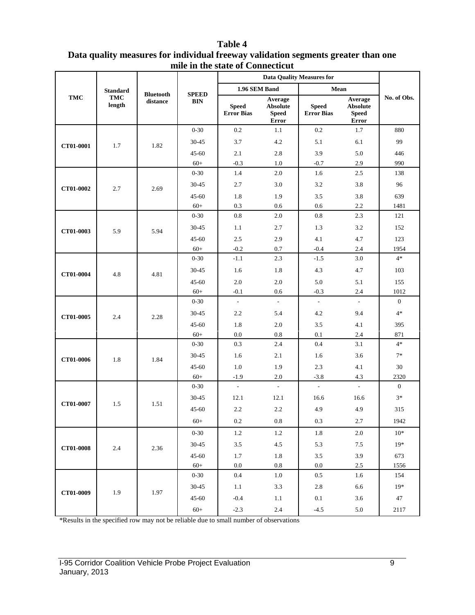| mile in the state of Comnecticut |                      |                  |              |                                   |                                                     |                                   |                                                            |              |
|----------------------------------|----------------------|------------------|--------------|-----------------------------------|-----------------------------------------------------|-----------------------------------|------------------------------------------------------------|--------------|
|                                  |                      |                  |              |                                   |                                                     |                                   |                                                            |              |
|                                  | <b>Standard</b>      | <b>Bluetooth</b> | <b>SPEED</b> | 1.96 SEM Band                     |                                                     | Mean                              |                                                            |              |
| <b>TMC</b>                       | <b>TMC</b><br>length | distance         | <b>BIN</b>   | <b>Speed</b><br><b>Error Bias</b> | Average<br><b>Absolute</b><br><b>Speed</b><br>Error | <b>Speed</b><br><b>Error Bias</b> | Average<br><b>Absolute</b><br><b>Speed</b><br><b>Error</b> | No. of Obs.  |
|                                  |                      |                  | $0 - 30$     | 0.2                               | 1.1                                                 | 0.2                               | 1.7                                                        | 880          |
| CT01-0001                        | 1.7                  | 1.82             | $30 - 45$    | 3.7                               | 4.2                                                 | 5.1                               | 6.1                                                        | 99           |
|                                  |                      |                  | $45 - 60$    | 2.1                               | 2.8                                                 | 3.9                               | 5.0                                                        | 446          |
|                                  |                      |                  | $60+$        | $-0.3$                            | 1.0                                                 | $-0.7$                            | 2.9                                                        | 990          |
|                                  |                      |                  | $0 - 30$     | 1.4                               | 2.0                                                 | 1.6                               | 2.5                                                        | 138          |
| CT01-0002                        | 2.7                  | 2.69             | $30 - 45$    | 2.7                               | 3.0                                                 | 3.2                               | 3.8                                                        | 96           |
|                                  |                      |                  | $45 - 60$    | 1.8                               | 1.9                                                 | 3.5                               | 3.8                                                        | 639          |
|                                  |                      |                  | $60+$        | 0.3                               | $0.6\,$                                             | 0.6                               | 2.2                                                        | 1481         |
|                                  |                      |                  | $0 - 30$     | $0.8\,$                           | $2.0\,$                                             | $0.8\,$                           | 2.3                                                        | 121          |
| CT01-0003                        | 5.9                  | 5.94             | $30 - 45$    | 1.1                               | 2.7                                                 | 1.3                               | 3.2                                                        | 152          |
|                                  |                      |                  | $45 - 60$    | 2.5                               | 2.9                                                 | 4.1                               | 4.7                                                        | 123          |
|                                  |                      |                  | $60+$        | $-0.2$                            | 0.7                                                 | $-0.4$                            | 2.4                                                        | 1954         |
|                                  |                      | 4.81             | $0 - 30$     | $-1.1$                            | 2.3                                                 | $-1.5$                            | 3.0                                                        | $4*$         |
| CT01-0004                        | 4.8                  |                  | $30 - 45$    | 1.6                               | 1.8                                                 | 4.3                               | 4.7                                                        | 103          |
|                                  |                      |                  | $45 - 60$    | 2.0                               | $2.0\,$                                             | 5.0                               | 5.1                                                        | 155          |
|                                  |                      |                  | $60+$        | $-0.1$                            | 0.6                                                 | $-0.3$                            | 2.4                                                        | 1012         |
|                                  |                      | 2.28             | $0 - 30$     | $\bar{\phantom{a}}$               | $\overline{\phantom{a}}$                            | $\overline{\phantom{a}}$          | $\overline{\phantom{a}}$                                   | $\mathbf{0}$ |
| CT01-0005                        | 2.4                  |                  | $30 - 45$    | 2.2                               | 5.4                                                 | 4.2                               | 9.4                                                        | $4*$         |
|                                  |                      |                  | $45 - 60$    | 1.8                               | 2.0                                                 | 3.5                               | 4.1                                                        | 395          |
|                                  |                      |                  | $60+$        | 0.0                               | 0.8                                                 | 0.1                               | 2.4                                                        | 871          |
|                                  |                      |                  | $0 - 30$     | 0.3                               | 2.4                                                 | 0.4                               | 3.1                                                        | $4*$         |
| CT01-0006                        | 1.8                  | 1.84             | $30 - 45$    | 1.6                               | 2.1                                                 | 1.6                               | 3.6                                                        | $7*$         |
|                                  |                      |                  | $45 - 60$    | 1.0                               | 1.9                                                 | 2.3                               | 4.1                                                        | 30           |
|                                  |                      |                  | $60+$        | $-1.9$                            | 2.0                                                 | $-3.8$                            | 4.3                                                        | 2320         |
|                                  |                      |                  | $0 - 30$     | L.                                | $\overline{a}$                                      | $\frac{1}{2}$                     | $\overline{a}$                                             | $\mathbf{0}$ |
| CT01-0007                        | 1.5                  | 1.51             | $30 - 45$    | 12.1                              | 12.1                                                | 16.6                              | 16.6                                                       | $3*$         |
|                                  |                      |                  | $45 - 60$    | 2.2                               | 2.2                                                 | 4.9                               | 4.9                                                        | 315          |
|                                  |                      |                  | $60+$        | 0.2                               | 0.8                                                 | 0.3                               | 2.7                                                        | 1942         |
|                                  |                      |                  | $0 - 30$     | $1.2\,$                           | 1.2                                                 | 1.8                               | 2.0                                                        | $10*$        |
| CT01-0008                        | 2.4                  | 2.36             | $30 - 45$    | 3.5                               | 4.5                                                 | 5.3                               | 7.5                                                        | $19*$        |
|                                  |                      |                  | $45 - 60$    | 1.7                               | 1.8                                                 | 3.5                               | 3.9                                                        | 673          |
|                                  |                      |                  | $60+$        | $0.0\,$                           | $0.8\,$                                             | $0.0\,$                           | $2.5\,$                                                    | 1556         |
|                                  |                      |                  | $0 - 30$     | 0.4                               | 1.0                                                 | $0.5\,$                           | 1.6                                                        | 154          |
|                                  |                      |                  | $30 - 45$    | 1.1                               | 3.3                                                 | 2.8                               | 6.6                                                        | $19*$        |
| CT01-0009                        | 1.9                  | 1.97             | $45 - 60$    | $-0.4$                            | $1.1\,$                                             | $0.1\,$                           | $3.6\,$                                                    | 47           |

#### **Table 4 Data quality measures for individual freeway validation segments greater than one mile in the state of Connecticut**

\*Results in the specified row may not be reliable due to small number of observations

60+ -2.3 2.4 -4.5 5.0 2117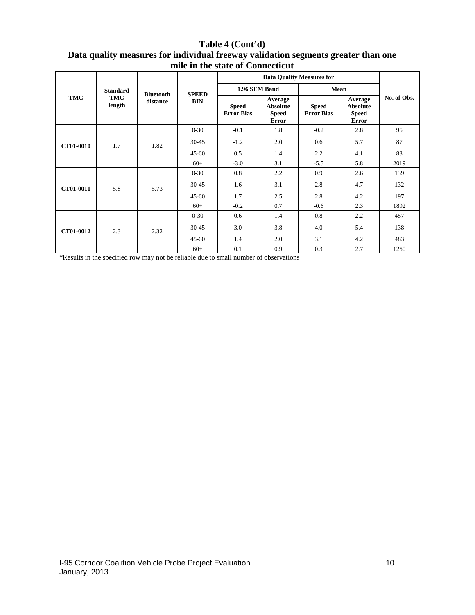#### **Table 4 (Cont'd) Data quality measures for individual freeway validation segments greater than one mile in the state of Connecticut**

|            | <b>Standard</b> | <b>Bluetooth</b> | <b>SPEED</b> | 1.96 SEM Band                     |                                                            | Mean                              |                                                            |             |
|------------|-----------------|------------------|--------------|-----------------------------------|------------------------------------------------------------|-----------------------------------|------------------------------------------------------------|-------------|
| <b>TMC</b> | TMC<br>length   | distance         | <b>BIN</b>   | <b>Speed</b><br><b>Error Bias</b> | Average<br><b>Absolute</b><br><b>Speed</b><br><b>Error</b> | <b>Speed</b><br><b>Error Bias</b> | Average<br><b>Absolute</b><br><b>Speed</b><br><b>Error</b> | No. of Obs. |
|            |                 |                  | $0 - 30$     | $-0.1$                            | 1.8                                                        | $-0.2$                            | 2.8                                                        | 95          |
| CT01-0010  | 1.7             | 1.82             | $30 - 45$    | $-1.2$                            | 2.0                                                        | 0.6                               | 5.7                                                        | 87          |
|            |                 |                  | $45 - 60$    | 0.5                               | 1.4                                                        | 2.2                               | 4.1                                                        | 83          |
|            |                 |                  | $60+$        | $-3.0$                            | 3.1                                                        | $-5.5$                            | 5.8                                                        | 2019        |
|            | 5.8             | 5.73             | $0 - 30$     | 0.8                               | 2.2                                                        | 0.9                               | 2.6                                                        | 139         |
| CT01-0011  |                 |                  | $30 - 45$    | 1.6                               | 3.1                                                        | 2.8                               | 4.7                                                        | 132         |
|            |                 |                  | $45 - 60$    | 1.7                               | 2.5                                                        | 2.8                               | 4.2                                                        | 197         |
|            |                 |                  | $60+$        | $-0.2$                            | 0.7                                                        | $-0.6$                            | 2.3                                                        | 1892        |
|            | 2.3             | 2.32             | $0 - 30$     | 0.6                               | 1.4                                                        | 0.8                               | 2.2                                                        | 457         |
| CT01-0012  |                 |                  | $30 - 45$    | 3.0                               | 3.8                                                        | 4.0                               | 5.4                                                        | 138         |
|            |                 |                  | $45 - 60$    | 1.4                               | 2.0                                                        | 3.1                               | 4.2                                                        | 483         |
|            |                 |                  | $60+$        | 0.1                               | 0.9                                                        | 0.3                               | 2.7                                                        | 1250        |

\*Results in the specified row may not be reliable due to small number of observations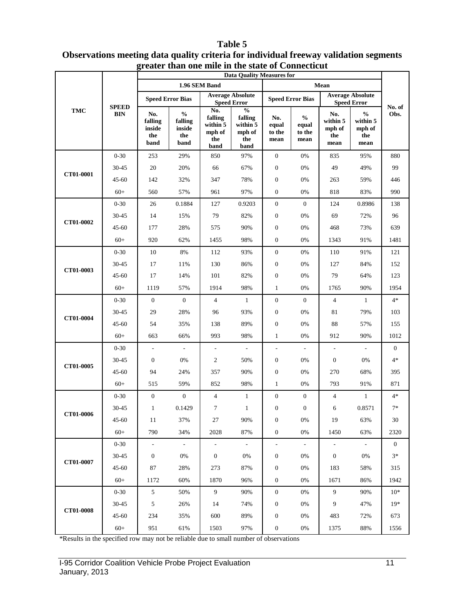#### **TMC SPEED BIN Data Quality Measures for No. of Obs. 1.96 SEM Band Mean Speed Error Bias Average Absolute Speed Error Speed Error Speed Error Bias Average Absolute Speed Error No. falling inside the band % falling inside the band No. falling within 5 mph of the band % falling within 5 mph of the band No. equal to the mean % equal to the mean No. within 5 mph of the mean % within 5 mph of the mean CT01-0001**  0-30 253 29% 850 97% 0 0% 835 95% 880 30-45 20 20% 66 67% 0 0% 49 49% 99 45-60 142 32% 347 78% 0 0% 263 59% 446 60+ 560 57% 961 97% 0 0% 818 83% 990 **CT01-0002**  0-30 26 0.1884 127 0.9203 0 0 124 0.8986 138 30-45 14 15% 79 82% 0 0% 69 72% 96 45-60 177 28% 575 90% 0 0% 468 73% 639 60+ 920 62% 1455 98% 0 0% 1343 91% 1481 **CT01-0003** 0-30 10 8% 112 93% 0 0% 110 91% 121 30-45 17 11% 130 86% 0 0% 127 84% 152 45-60 17 14% 101 82% 0 0% 79 64% 123 60+ 1119 57% 1914 98% 1 0% 1765 90% 1954 **CT01-0004**  $0-30$  0 0 4 1 0 0 4 1 4\* 30-45 29 28% 96 93% 0 0% 81 79% 103 45-60 54 35% 138 89% 0 0% 88 57% 155 60+ 663 66% 993 98% 1 0% 912 90% 1012 **CT01-0005** 0-30 - - - - - - - - - - - - 0 30-45 0 0% 2 50% 0 0% 0 0% 4\* 45-60 94 24% 357 90% 0 0% 270 68% 395 60+ 515 59% 852 98% 1 0% 793 91% 871 **CT01-0006**  $0-30$  0 0 4 1 0 0 4 1 4\* 30-45 1 0.1429 7 1 0 0 6 0.8571 7\* 45-60 11 37% 27 90% 0 0% 19 63% 30 60+ 790 34% 2028 87% 0 0% 1450 63% 2320 **CT01-0007** 0-30 - - - - - - - - - - - - 0 30-45 0 0% 0 0% 0 0% 0 0% 0 0% 3<sup>\*</sup> 45-60 87 28% 273 87% 0 0% 183 58% 315 60+ 1172 60% 1870 96% 0 0% 1671 86% 1942 **CT01-0008**  $0-30$  5 50% 9 90% 0 0% 9 90% 10\* 30-45 5 26% 14 74% 0 0% 9 47% 19\* 45-60 234 35% 600 89% 0 0% 483 72% 673 60+ 951 61% 1503 97% 0 0% 1375 88% 1556

#### **Table 5 Observations meeting data quality criteria for individual freeway validation segments greater than one mile in the state of Connecticut**

\*Results in the specified row may not be reliable due to small number of observations